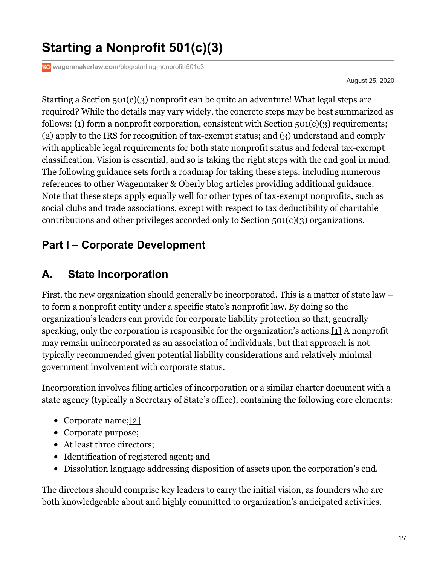# **Starting a Nonprofit 501(c)(3)**

**wagenmakerlaw.com**[/blog/starting-nonprofit-501c3](https://wagenmakerlaw.com/blog/starting-nonprofit-501c3)

<span id="page-0-0"></span>August 25, 2020

Starting a Section 501(c)(3) nonprofit can be quite an adventure! What legal steps are required? While the details may vary widely, the concrete steps may be best summarized as follows: (1) form a nonprofit corporation, consistent with Section  $501(c)(3)$  requirements; (2) apply to the IRS for recognition of tax-exempt status; and (3) understand and comply with applicable legal requirements for both state nonprofit status and federal tax-exempt classification. Vision is essential, and so is taking the right steps with the end goal in mind. The following guidance sets forth a roadmap for taking these steps, including numerous references to other Wagenmaker & Oberly blog articles providing additional guidance. Note that these steps apply equally well for other types of tax-exempt nonprofits, such as social clubs and trade associations, except with respect to tax deductibility of charitable contributions and other privileges accorded only to Section 501(c)(3) organizations.

#### **Part I – Corporate Development**

#### **A. State Incorporation**

First, the new organization should generally be incorporated. This is a matter of state law – to form a nonprofit entity under a specific state's nonprofit law. By doing so the organization's leaders can provide for corporate liability protection so that, generally speaking, only the corporation is responsible for the organization's actions[.\[1\]](#page-5-0) A nonprofit may remain unincorporated as an association of individuals, but that approach is not typically recommended given potential liability considerations and relatively minimal government involvement with corporate status.

Incorporation involves filing articles of incorporation or a similar charter document with a state agency (typically a Secretary of State's office), containing the following core elements:

- <span id="page-0-1"></span>• Corporate name;[\[2\]](#page-5-1)
- Corporate purpose;
- At least three directors;
- Identification of registered agent; and
- Dissolution language addressing disposition of assets upon the corporation's end.

The directors should comprise key leaders to carry the initial vision, as founders who are both knowledgeable about and highly committed to organization's anticipated activities.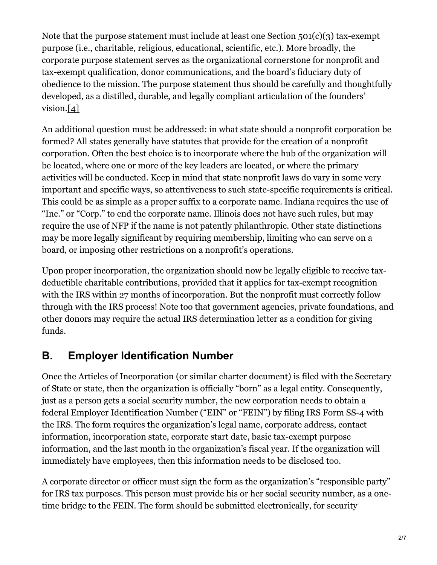Note that the purpose statement must include at least one Section 501(c)(3) tax-exempt purpose (i.e., charitable, religious, educational, scientific, etc.). More broadly, the corporate purpose statement serves as the organizational cornerstone for nonprofit and tax-exempt qualification, donor communications, and the board's fiduciary duty of obedience to the mission. The purpose statement thus should be carefully and thoughtfully developed, as a distilled, durable, and legally compliant articulation of the founders' vision[.\[4\]](#page-6-0)

<span id="page-1-0"></span>An additional question must be addressed: in what state should a nonprofit corporation be formed? All states generally have statutes that provide for the creation of a nonprofit corporation. Often the best choice is to incorporate where the hub of the organization will be located, where one or more of the key leaders are located, or where the primary activities will be conducted. Keep in mind that state nonprofit laws do vary in some very important and specific ways, so attentiveness to such state-specific requirements is critical. This could be as simple as a proper suffix to a corporate name. Indiana requires the use of "Inc." or "Corp." to end the corporate name. Illinois does not have such rules, but may require the use of NFP if the name is not patently philanthropic. Other state distinctions may be more legally significant by requiring membership, limiting who can serve on a board, or imposing other restrictions on a nonprofit's operations.

Upon proper incorporation, the organization should now be legally eligible to receive taxdeductible charitable contributions, provided that it applies for tax-exempt recognition with the IRS within 27 months of incorporation. But the nonprofit must correctly follow through with the IRS process! Note too that government agencies, private foundations, and other donors may require the actual IRS determination letter as a condition for giving funds.

## **B. Employer Identification Number**

Once the Articles of Incorporation (or similar charter document) is filed with the Secretary of State or state, then the organization is officially "born" as a legal entity. Consequently, just as a person gets a social security number, the new corporation needs to obtain a federal Employer Identification Number ("EIN" or "FEIN") by filing IRS Form SS-4 with the IRS. The form requires the organization's legal name, corporate address, contact information, incorporation state, corporate start date, basic tax-exempt purpose information, and the last month in the organization's fiscal year. If the organization will immediately have employees, then this information needs to be disclosed too.

A corporate director or officer must sign the form as the organization's "responsible party" for IRS tax purposes. This person must provide his or her social security number, as a onetime bridge to the FEIN. The form should be submitted electronically, for security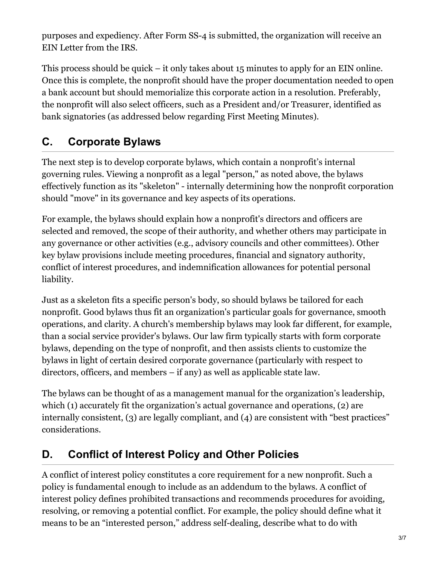purposes and expediency. After Form SS-4 is submitted, the organization will receive an EIN Letter from the IRS.

This process should be quick – it only takes about 15 minutes to apply for an EIN online. Once this is complete, the nonprofit should have the proper documentation needed to open a bank account but should memorialize this corporate action in a resolution. Preferably, the nonprofit will also select officers, such as a President and/or Treasurer, identified as bank signatories (as addressed below regarding First Meeting Minutes).

# **C. Corporate Bylaws**

The next step is to develop corporate bylaws, which contain a nonprofit's internal governing rules. Viewing a nonprofit as a legal "person," as noted above, the bylaws effectively function as its "skeleton" - internally determining how the nonprofit corporation should "move" in its governance and key aspects of its operations.

For example, the bylaws should explain how a nonprofit's directors and officers are selected and removed, the scope of their authority, and whether others may participate in any governance or other activities (e.g., advisory councils and other committees). Other key bylaw provisions include meeting procedures, financial and signatory authority, conflict of interest procedures, and indemnification allowances for potential personal liability.

Just as a skeleton fits a specific person's body, so should bylaws be tailored for each nonprofit. Good bylaws thus fit an organization's particular goals for governance, smooth operations, and clarity. A church's membership bylaws may look far different, for example, than a social service provider's bylaws. Our law firm typically starts with form corporate bylaws, depending on the type of nonprofit, and then assists clients to customize the bylaws in light of certain desired corporate governance (particularly with respect to directors, officers, and members – if any) as well as applicable state law.

The bylaws can be thought of as a management manual for the organization's leadership, which (1) accurately fit the organization's actual governance and operations, (2) are internally consistent, (3) are legally compliant, and (4) are consistent with "best practices" considerations.

## **D. Conflict of Interest Policy and Other Policies**

A conflict of interest policy constitutes a core requirement for a new nonprofit. Such a policy is fundamental enough to include as an addendum to the bylaws. A conflict of interest policy defines prohibited transactions and recommends procedures for avoiding, resolving, or removing a potential conflict. For example, the policy should define what it means to be an "interested person," address self-dealing, describe what to do with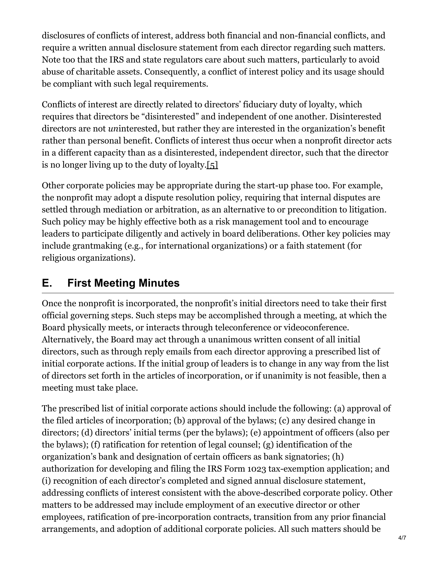disclosures of conflicts of interest, address both financial and non-financial conflicts, and require a written annual disclosure statement from each director regarding such matters. Note too that the IRS and state regulators care about such matters, particularly to avoid abuse of charitable assets. Consequently, a conflict of interest policy and its usage should be compliant with such legal requirements.

Conflicts of interest are directly related to directors' fiduciary duty of loyalty, which requires that directors be "disinterested" and independent of one another. Disinterested directors are not *un*interested, but rather they are interested in the organization's benefit rather than personal benefit. Conflicts of interest thus occur when a nonprofit director acts in a different capacity than as a disinterested, independent director, such that the director is no longer living up to the duty of loyalty[.\[5\]](#page-6-1)

<span id="page-3-0"></span>Other corporate policies may be appropriate during the start-up phase too. For example, the nonprofit may adopt a dispute resolution policy, requiring that internal disputes are settled through mediation or arbitration, as an alternative to or precondition to litigation. Such policy may be highly effective both as a risk management tool and to encourage leaders to participate diligently and actively in board deliberations. Other key policies may include grantmaking (e.g., for international organizations) or a faith statement (for religious organizations).

# **E. First Meeting Minutes**

Once the nonprofit is incorporated, the nonprofit's initial directors need to take their first official governing steps. Such steps may be accomplished through a meeting, at which the Board physically meets, or interacts through teleconference or videoconference. Alternatively, the Board may act through a unanimous written consent of all initial directors, such as through reply emails from each director approving a prescribed list of initial corporate actions. If the initial group of leaders is to change in any way from the list of directors set forth in the articles of incorporation, or if unanimity is not feasible, then a meeting must take place.

The prescribed list of initial corporate actions should include the following: (a) approval of the filed articles of incorporation; (b) approval of the bylaws; (c) any desired change in directors; (d) directors' initial terms (per the bylaws); (e) appointment of officers (also per the bylaws); (f) ratification for retention of legal counsel; (g) identification of the organization's bank and designation of certain officers as bank signatories; (h) authorization for developing and filing the IRS Form 1023 tax-exemption application; and (i) recognition of each director's completed and signed annual disclosure statement, addressing conflicts of interest consistent with the above-described corporate policy. Other matters to be addressed may include employment of an executive director or other employees, ratification of pre-incorporation contracts, transition from any prior financial arrangements, and adoption of additional corporate policies. All such matters should be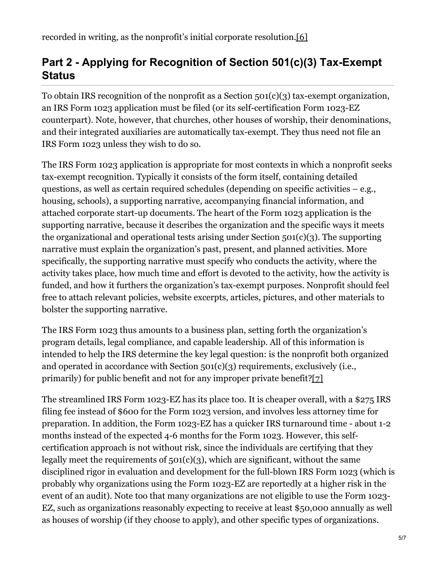# <span id="page-4-0"></span>**Part 2 - Applying for Recognition of Section 501(c)(3) Tax-Exempt Status**

To obtain IRS recognition of the nonprofit as a Section 501(c)(3) tax-exempt organization, an IRS Form 1023 application must be filed (or its self-certification Form 1023-EZ counterpart). Note, however, that churches, other houses of worship, their denominations, and their integrated auxiliaries are automatically tax-exempt. They thus need not file an IRS Form 1023 unless they wish to do so.

The IRS Form 1023 application is appropriate for most contexts in which a nonprofit seeks tax-exempt recognition. Typically it consists of the form itself, containing detailed questions, as well as certain required schedules (depending on specific activities – e.g., housing, schools), a supporting narrative, accompanying financial information, and attached corporate start-up documents. The heart of the Form 1023 application is the supporting narrative, because it describes the organization and the specific ways it meets the organizational and operational tests arising under Section 501(c)(3). The supporting narrative must explain the organization's past, present, and planned activities. More specifically, the supporting narrative must specify who conducts the activity, where the activity takes place, how much time and effort is devoted to the activity, how the activity is funded, and how it furthers the organization's tax-exempt purposes. Nonprofit should feel free to attach relevant policies, website excerpts, articles, pictures, and other materials to bolster the supporting narrative.

The IRS Form 1023 thus amounts to a business plan, setting forth the organization's program details, legal compliance, and capable leadership. All of this information is intended to help the IRS determine the key legal question: is the nonprofit both organized and operated in accordance with Section 501(c)(3) requirements, exclusively (i.e., primarily) for public benefit and not for any improper private benefit[?\[7\]](#page-6-3)

<span id="page-4-1"></span>The streamlined IRS Form 1023-EZ has its place too. It is cheaper overall, with a \$275 IRS filing fee instead of \$600 for the Form 1023 version, and involves less attorney time for preparation. In addition, the Form 1023-EZ has a quicker IRS turnaround time - about 1-2 months instead of the expected 4-6 months for the Form 1023. However, this selfcertification approach is not without risk, since the individuals are certifying that they legally meet the requirements of  $501(c)(3)$ , which are significant, without the same disciplined rigor in evaluation and development for the full-blown IRS Form 1023 (which is probably why organizations using the Form 1023-EZ are reportedly at a higher risk in the event of an audit). Note too that many organizations are not eligible to use the Form 1023- EZ, such as organizations reasonably expecting to receive at least \$50,000 annually as well as houses of worship (if they choose to apply), and other specific types of organizations.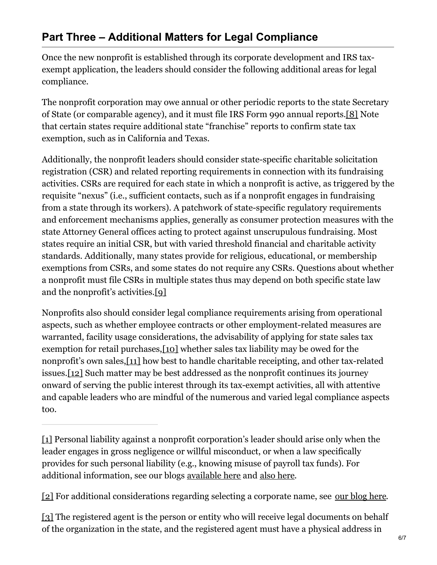Once the new nonprofit is established through its corporate development and IRS taxexempt application, the leaders should consider the following additional areas for legal compliance.

<span id="page-5-2"></span>The nonprofit corporation may owe annual or other periodic reports to the state Secretary of State (or comparable agency), and it must file IRS Form 990 annual reports[.\[8\]](#page-6-4) Note that certain states require additional state "franchise" reports to confirm state tax exemption, such as in California and Texas.

Additionally, the nonprofit leaders should consider state-specific charitable solicitation registration (CSR) and related reporting requirements in connection with its fundraising activities. CSRs are required for each state in which a nonprofit is active, as triggered by the requisite "nexus" (i.e., sufficient contacts, such as if a nonprofit engages in fundraising from a state through its workers). A patchwork of state-specific regulatory requirements and enforcement mechanisms applies, generally as consumer protection measures with the state Attorney General offices acting to protect against unscrupulous fundraising. Most states require an initial CSR, but with varied threshold financial and charitable activity standards. Additionally, many states provide for religious, educational, or membership exemptions from CSRs, and some states do not require any CSRs. Questions about whether a nonprofit must file CSRs in multiple states thus may depend on both specific state law and the nonprofit's activities[.\[9\]](#page-6-5)

<span id="page-5-6"></span><span id="page-5-5"></span><span id="page-5-4"></span><span id="page-5-3"></span>Nonprofits also should consider legal compliance requirements arising from operational aspects, such as whether employee contracts or other employment-related measures are warranted, facility usage considerations, the advisability of applying for state sales tax exemption for retail purchases, [10] whether sales tax liability may be owed for the nonprofit's own sales,[\[11\]](#page-6-7) how best to handle charitable receipting, and other tax-related issues[.\[12\]](#page-6-8) Such matter may be best addressed as the nonprofit continues its journey onward of serving the public interest through its tax-exempt activities, all with attentive and capable leaders who are mindful of the numerous and varied legal compliance aspects too.

<span id="page-5-0"></span>[\[1\]](#page-0-0) Personal liability against a nonprofit corporation's leader should arise only when the leader engages in gross negligence or willful misconduct, or when a law specifically provides for such personal liability (e.g., knowing misuse of payroll tax funds). For additional information, see our blogs [available](https://wagenmakerlaw.com/blog/when-volunteer-leadership-goes-bad-personal-liability) here and also [here](https://wagenmakerlaw.com/blog/immunity-or-not-charitable-tort-liability-limits-modern-times).

<span id="page-5-1"></span>[\[2\]](#page-0-1) For additional considerations regarding selecting a corporate name, see our [blog](https://wagenmakerlaw.com/blog/whats-nonprofit-name-trademark-protection-and-more) here.

[3] The registered agent is the person or entity who will receive legal documents on behalf of the organization in the state, and the registered agent must have a physical address in